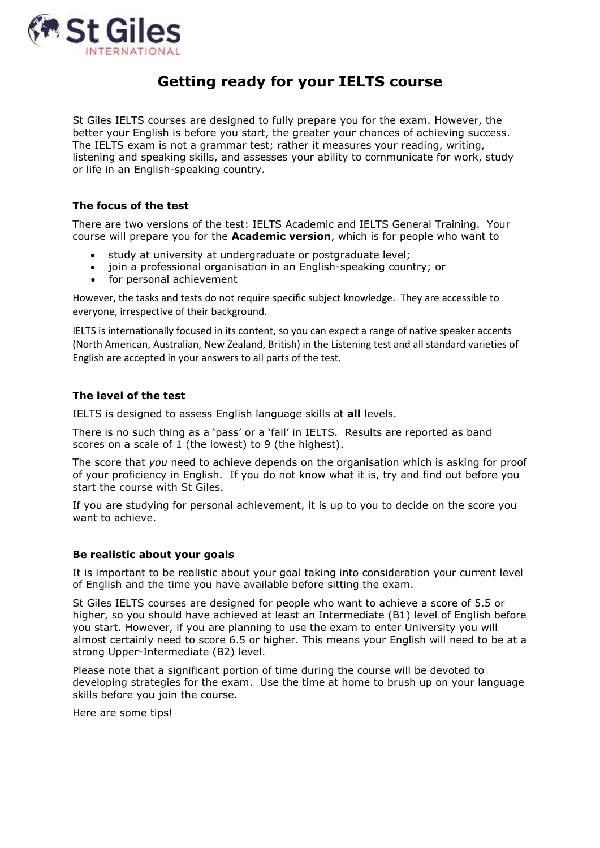

# **Getting ready for your IELTS course**

St Giles IELTS courses are designed to fully prepare you for the exam. However, the better your English is before you start, the greater your chances of achieving success. The IELTS exam is not a grammar test; rather it measures your reading, writing, listening and speaking skills, and assesses your ability to communicate for work, study or life in an English-speaking country.

## **The focus of the test**

There are two versions of the test: IELTS Academic and IELTS General Training. Your course will prepare you for the **Academic version**, which is for people who want to

- study at university at undergraduate or postgraduate level;
- join a professional organisation in an English-speaking country; or
- for personal achievement

However, the tasks and tests do not require specific subject knowledge. They are accessible to everyone, irrespective of their background.

IELTS is internationally focused in its content, so you can expect a range of native speaker accents (North American, Australian, New Zealand, British) in the Listening test and all standard varieties of English are accepted in your answers to all parts of the test.

#### **The level of the test**

IELTS is designed to assess English language skills at **all** levels.

There is no such thing as a 'pass' or a 'fail' in IELTS. Results are reported as band scores on a scale of 1 (the lowest) to 9 (the highest).

The score that *you* need to achieve depends on the organisation which is asking for proof of your proficiency in English. If you do not know what it is, try and find out before you start the course with St Giles.

If you are studying for personal achievement, it is up to you to decide on the score you want to achieve

#### **Be realistic about your goals**

It is important to be realistic about your goal taking into consideration your current level of English and the time you have available before sitting the exam.

St Giles IELTS courses are designed for people who want to achieve a score of 5.5 or higher, so you should have achieved at least an Intermediate (B1) level of English before you start. However, if you are planning to use the exam to enter University you will almost certainly need to score 6.5 or higher. This means your English will need to be at a strong Upper-Intermediate (B2) level.

Please note that a significant portion of time during the course will be devoted to developing strategies for the exam. Use the time at home to brush up on your language skills before you join the course.

Here are some tips!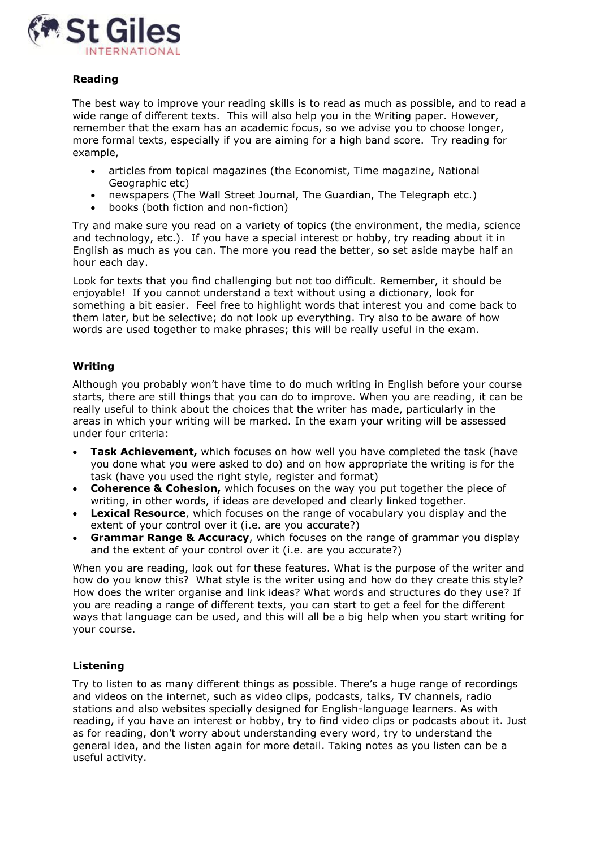

## **Reading**

The best way to improve your reading skills is to read as much as possible, and to read a wide range of different texts. This will also help you in the Writing paper. However, remember that the exam has an academic focus, so we advise you to choose longer, more formal texts, especially if you are aiming for a high band score. Try reading for example,

- articles from topical magazines (the Economist, Time magazine, National Geographic etc)
- newspapers (The Wall Street Journal, The Guardian, The Telegraph etc.)
- books (both fiction and non-fiction)

Try and make sure you read on a variety of topics (the environment, the media, science and technology, etc.). If you have a special interest or hobby, try reading about it in English as much as you can. The more you read the better, so set aside maybe half an hour each day.

Look for texts that you find challenging but not too difficult. Remember, it should be enjoyable! If you cannot understand a text without using a dictionary, look for something a bit easier. Feel free to highlight words that interest you and come back to them later, but be selective; do not look up everything. Try also to be aware of how words are used together to make phrases; this will be really useful in the exam.

## **Writing**

Although you probably won't have time to do much writing in English before your course starts, there are still things that you can do to improve. When you are reading, it can be really useful to think about the choices that the writer has made, particularly in the areas in which your writing will be marked. In the exam your writing will be assessed under four criteria:

- **Task Achievement,** which focuses on how well you have completed the task (have you done what you were asked to do) and on how appropriate the writing is for the task (have you used the right style, register and format)
- **Coherence & Cohesion,** which focuses on the way you put together the piece of writing, in other words, if ideas are developed and clearly linked together.
- **Lexical Resource**, which focuses on the range of vocabulary you display and the extent of your control over it (i.e. are you accurate?)
- **Grammar Range & Accuracy**, which focuses on the range of grammar you display and the extent of your control over it (i.e. are you accurate?)

When you are reading, look out for these features. What is the purpose of the writer and how do you know this? What style is the writer using and how do they create this style? How does the writer organise and link ideas? What words and structures do they use? If you are reading a range of different texts, you can start to get a feel for the different ways that language can be used, and this will all be a big help when you start writing for your course.

#### **Listening**

Try to listen to as many different things as possible. There's a huge range of recordings and videos on the internet, such as video clips, podcasts, talks, TV channels, radio stations and also websites specially designed for English-language learners. As with reading, if you have an interest or hobby, try to find video clips or podcasts about it. Just as for reading, don't worry about understanding every word, try to understand the general idea, and the listen again for more detail. Taking notes as you listen can be a useful activity.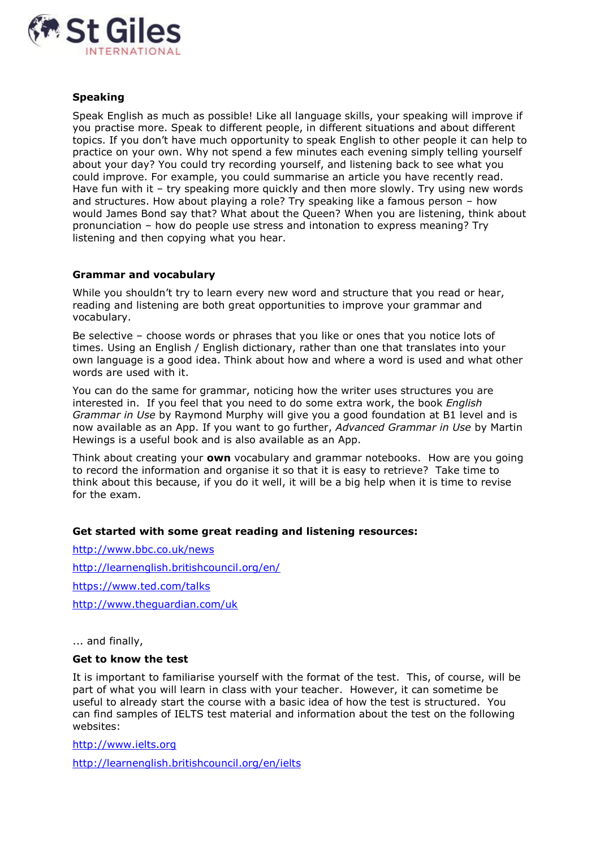

## **Speaking**

Speak English as much as possible! Like all language skills, your speaking will improve if you practise more. Speak to different people, in different situations and about different topics. If you don't have much opportunity to speak English to other people it can help to practice on your own. Why not spend a few minutes each evening simply telling yourself about your day? You could try recording yourself, and listening back to see what you could improve. For example, you could summarise an article you have recently read. Have fun with it – try speaking more quickly and then more slowly. Try using new words and structures. How about playing a role? Try speaking like a famous person – how would James Bond say that? What about the Queen? When you are listening, think about pronunciation – how do people use stress and intonation to express meaning? Try listening and then copying what you hear.

## **Grammar and vocabulary**

While you shouldn't try to learn every new word and structure that you read or hear, reading and listening are both great opportunities to improve your grammar and vocabulary.

Be selective – choose words or phrases that you like or ones that you notice lots of times. Using an English / English dictionary, rather than one that translates into your own language is a good idea. Think about how and where a word is used and what other words are used with it.

You can do the same for grammar, noticing how the writer uses structures you are interested in. If you feel that you need to do some extra work, the book *English Grammar in Use* by Raymond Murphy will give you a good foundation at B1 level and is now available as an App. If you want to go further, *Advanced Grammar in Use* by Martin Hewings is a useful book and is also available as an App.

Think about creating your **own** vocabulary and grammar notebooks. How are you going to record the information and organise it so that it is easy to retrieve? Take time to think about this because, if you do it well, it will be a big help when it is time to revise for the exam.

#### **Get started with some great reading and listening resources:**

<http://www.bbc.co.uk/news> <http://learnenglish.britishcouncil.org/en/> <https://www.ted.com/talks> <http://www.theguardian.com/uk>

... and finally,

## **Get to know the test**

It is important to familiarise yourself with the format of the test. This, of course, will be part of what you will learn in class with your teacher. However, it can sometime be useful to already start the course with a basic idea of how the test is structured. You can find samples of IELTS test material and information about the test on the following websites:

[http://www.ielts.org](http://www.ielts.org/)

<http://learnenglish.britishcouncil.org/en/ielts>